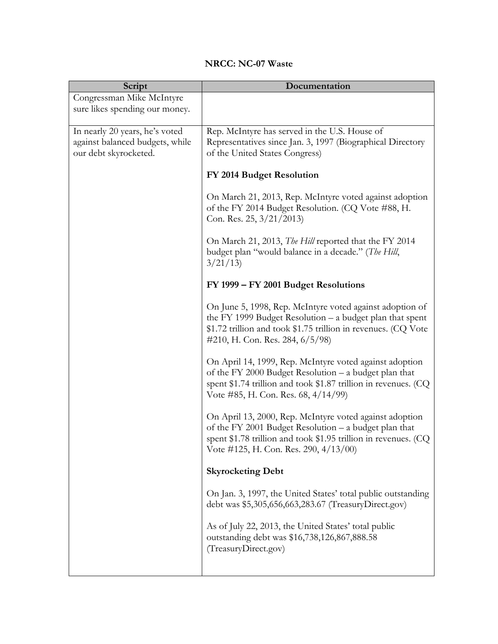## **NRCC: NC-07 Waste**

| Script                                                                                     | Documentation                                                                                                                                                                                                                  |
|--------------------------------------------------------------------------------------------|--------------------------------------------------------------------------------------------------------------------------------------------------------------------------------------------------------------------------------|
| Congressman Mike McIntyre                                                                  |                                                                                                                                                                                                                                |
| sure likes spending our money.                                                             |                                                                                                                                                                                                                                |
| In nearly 20 years, he's voted<br>against balanced budgets, while<br>our debt skyrocketed. | Rep. McIntyre has served in the U.S. House of<br>Representatives since Jan. 3, 1997 (Biographical Directory<br>of the United States Congress)                                                                                  |
|                                                                                            | FY 2014 Budget Resolution                                                                                                                                                                                                      |
|                                                                                            | On March 21, 2013, Rep. McIntyre voted against adoption<br>of the FY 2014 Budget Resolution. (CQ Vote #88, H.<br>Con. Res. 25, $3/21/2013$                                                                                     |
|                                                                                            | On March 21, 2013, <i>The Hill</i> reported that the FY 2014<br>budget plan "would balance in a decade." (The Hill,<br>3/21/13                                                                                                 |
|                                                                                            | FY 1999 - FY 2001 Budget Resolutions                                                                                                                                                                                           |
|                                                                                            | On June 5, 1998, Rep. McIntyre voted against adoption of<br>the FY 1999 Budget Resolution $-$ a budget plan that spent<br>\$1.72 trillion and took \$1.75 trillion in revenues. (CQ Vote<br>#210, H. Con. Res. 284, $6/5/98$ ) |
|                                                                                            | On April 14, 1999, Rep. McIntyre voted against adoption<br>of the FY 2000 Budget Resolution – a budget plan that<br>spent \$1.74 trillion and took \$1.87 trillion in revenues. $(CQ)$<br>Vote #85, H. Con. Res. 68, 4/14/99)  |
|                                                                                            | On April 13, 2000, Rep. McIntyre voted against adoption<br>of the FY 2001 Budget Resolution - a budget plan that<br>spent \$1.78 trillion and took \$1.95 trillion in revenues. (CQ<br>Vote #125, H. Con. Res. 290, 4/13/00)   |
|                                                                                            | <b>Skyrocketing Debt</b>                                                                                                                                                                                                       |
|                                                                                            | On Jan. 3, 1997, the United States' total public outstanding<br>debt was \$5,305,656,663,283.67 (TreasuryDirect.gov)                                                                                                           |
|                                                                                            | As of July 22, 2013, the United States' total public<br>outstanding debt was \$16,738,126,867,888.58<br>(TreasuryDirect.gov)                                                                                                   |
|                                                                                            |                                                                                                                                                                                                                                |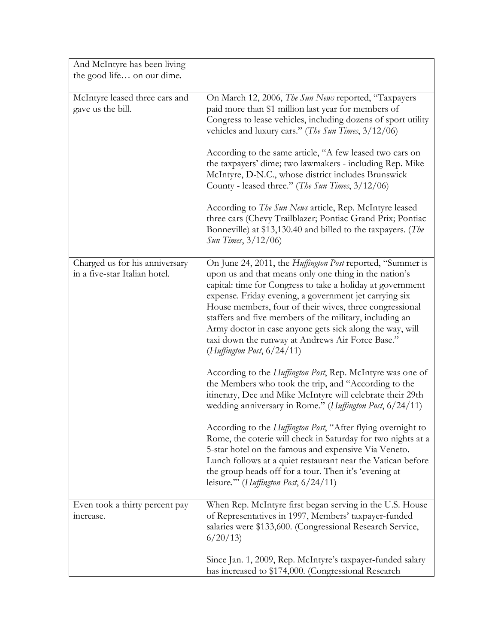| And McIntyre has been living<br>the good life on our dime.      |                                                                                                                                                                                                                                                                                                                                                                                                                                                                                                                                                                                                                                                                                                  |
|-----------------------------------------------------------------|--------------------------------------------------------------------------------------------------------------------------------------------------------------------------------------------------------------------------------------------------------------------------------------------------------------------------------------------------------------------------------------------------------------------------------------------------------------------------------------------------------------------------------------------------------------------------------------------------------------------------------------------------------------------------------------------------|
| McIntyre leased three cars and<br>gave us the bill.             | On March 12, 2006, The Sun News reported, "Taxpayers<br>paid more than \$1 million last year for members of<br>Congress to lease vehicles, including dozens of sport utility<br>vehicles and luxury cars." (The Sun Times, $3/12/06$ )<br>According to the same article, "A few leased two cars on<br>the taxpayers' dime; two lawmakers - including Rep. Mike<br>McIntyre, D-N.C., whose district includes Brunswick<br>County - leased three." (The Sun Times, 3/12/06)<br>According to <i>The Sun News</i> article, Rep. McIntyre leased<br>three cars (Chevy Trailblazer; Pontiac Grand Prix; Pontiac<br>Bonneville) at \$13,130.40 and billed to the taxpayers. (The<br>Sun Times, 3/12/06) |
| Charged us for his anniversary<br>in a five-star Italian hotel. | On June 24, 2011, the Huffington Post reported, "Summer is<br>upon us and that means only one thing in the nation's<br>capital: time for Congress to take a holiday at government<br>expense. Friday evening, a government jet carrying six<br>House members, four of their wives, three congressional<br>staffers and five members of the military, including an<br>Army doctor in case anyone gets sick along the way, will<br>taxi down the runway at Andrews Air Force Base."<br>(Huffington Post, 6/24/11)                                                                                                                                                                                  |
|                                                                 | According to the <i>Huffington Post</i> , Rep. McIntyre was one of<br>the Members who took the trip, and "According to the<br>itinerary, Dee and Mike McIntyre will celebrate their 29th<br>wedding anniversary in Rome." (Huffington Post, 6/24/11)<br>According to the <i>Huffington Post</i> , "After flying overnight to                                                                                                                                                                                                                                                                                                                                                                     |
|                                                                 | Rome, the coterie will check in Saturday for two nights at a<br>5-star hotel on the famous and expensive Via Veneto.<br>Lunch follows at a quiet restaurant near the Vatican before<br>the group heads off for a tour. Then it's 'evening at<br>leisure."" (Huffington Post, 6/24/11)                                                                                                                                                                                                                                                                                                                                                                                                            |
| Even took a thirty percent pay<br>increase.                     | When Rep. McIntyre first began serving in the U.S. House<br>of Representatives in 1997, Members' taxpayer-funded<br>salaries were \$133,600. (Congressional Research Service,<br>6/20/13                                                                                                                                                                                                                                                                                                                                                                                                                                                                                                         |
|                                                                 | Since Jan. 1, 2009, Rep. McIntyre's taxpayer-funded salary<br>has increased to \$174,000. (Congressional Research                                                                                                                                                                                                                                                                                                                                                                                                                                                                                                                                                                                |